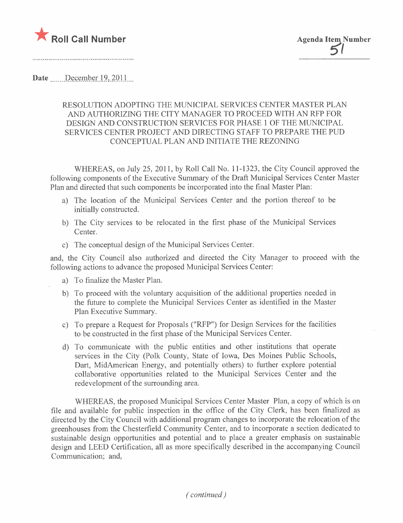

Date  $\sum$  December 19, 2011.

## RESOLUTION ADOPTING THE MUNICIPAL SERVICES CENTER MASTER PLAN AND AUTHORIZING THE CITY MANAGER TO PROCEED WITH AN RFP FOR DESIGN AND CONSTRUCTION SERVICES FOR PHASE 1 OF THE MUNICIPAL SERVICES CENTER PROJECT AND DIRECTING STAFF TO PREPARE THE PUD CONCEPTUAL PLAN AND INITIATE THE REZONING

WHEREAS, on July 25, 2011, by Roll Call No. 11-1323, the City Council approved the following components of the Executive Summary of the Draft Municipal Services Center Master Plan and directed that such components be incorporated into the final Master Plan:

- a) The location of the Municipal Services Center and the portion thereof to be initially constructed.
- b) The City services to be relocated in the first phase of the Municipal Services Center.
- c) The conceptual design of the Municipal Services Center.

and, the City Council also authorized and directed the City Manager to proceed with the following actions to advance the proposed Municipal Services Center:

- a) To finalize the Master Plan.
- b) To proceed with the voluntary acquisition of the additional properties needed in the future to complete the Municipal Services Center as identified in the Master Plan Executive Summary.
- c) To prepare a Request for Proposals ("RFP") for Design Services for the facilities to be constructed in the first phase of the Municipal Services Center.
- d) To communicate with the public entities and other institutions that operate services in the City (Polk County, State of Iowa, Des Moines Public Schools, Dart, MidAmerican Energy, and potentially others) to further explore potential collaborative opportunities related to the Municipal Services Center and the redevelopment of the surrounding area.

WHEREAS, the proposed Municipal Services Center Master Plan, a copy of which is on fie and available for public inspection in the office of the City Clerk, has been finalized as directed by the City Council with additional program changes to incorporate the relocation of the greenhouses from the Chesterfield Community Center, and to incorporate a section dedicated to sustainable design opportunities and potential and to place a greater emphasis on sustainable design and LEED Certification, all as more specifically described in the accompanying Council Communication; and,

( continued)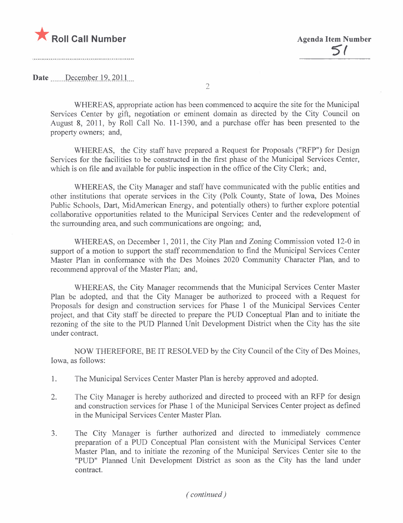

## Date  $\qquad$  December 19, 2011

WHEREAS, appropriate action has been commenced to acquire the site for the Municipal Services Center by gift, negotiation or eminent domain as directed by the City Council on August 8, 2011, by Roll Call No. 11-1390, and a purchase offer has been presented to the property owners; and,

2

WHEREAS, the City staff have prepared a Request for Proposals ("RFP") for Design Services for the facilities to be constructed in the first phase of the Municipal Services Center, which is on file and available for public inspection in the office of the City Clerk; and,

WHEREAS, the City Manager and staff have communicated with the public entities and other institutions that operate services in the City (Polk County, State of Iowa, Des Moines Public Schools, Dart, MidAmerican Energy, and potentially others) to further explore potential collaborative opportunities related to the Municipal Services Center and the redevelopment of the surrounding area, and such communications are ongoing; and,

WHEREAS, on December 1,2011, the City Plan and Zoning Commission voted 12-0 in support of a motion to support the staff recommendation to find the Municipal Services Center Master Plan in conformance with the Des Moines 2020 Community Character Plan, and to recommend approval of the Master Plan; and,

WHEREAS, the City Manager recommends that the Municipal Services Center Master Plan be adopted, and that the City Manager be authorized to proceed with a Request for Proposals for design and construction services for Phase 1 of the Municipal Services Center project, and that City staff be directed to prepare the PUD Conceptual Plan and to initiate the rezoning of the site to the PUD Planned Unit Development District when the City has the site under contract.

NOW THEREFORE, BE IT RESOLVED by the City Council of the City of Des Moines, Iowa, as follows:

- 1. The Municipal Services Center Master Plan is hereby approved and adopted.
- 2. The City Manager is hereby authorized and directed to proceed with an RFP for design and construction services for Phase 1 of the Municipal Services Center project as defined in the Municipal Services Center Master Plan.
- 3. The City Manager is further authorized and directed to immediately commence preparation of a PUD Conceptual Plan consistent with the Municipal Services Center Master Plan, and to initiate the rezoning of the Municipal Services Center site to the "PUD" Planned Unit Development District as soon as the City has the land under contract.

( continued)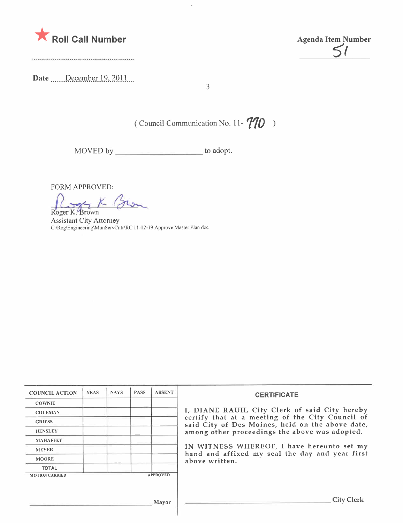

Da te \_ \_ \_\_ \_\_\_P~ç\_(tmt¡\_t\_r.1 9.,. 2Q-l. l \_\_u

<u>51</u>

3

( Council Communication No. 11- $\gamma$ 10 )

MOVED by \_\_\_\_\_\_\_\_\_\_\_\_\_\_\_\_\_\_\_\_\_\_\_\_\_ to adopt.

FORM APPROVED:<br>Roger K. Brown

Assistant City Attorney C:\Rog\Engineering\MunServCntr\RC i i -12- i 9 Approve Master Plan. doc

| <b>COUNCIL ACTION</b> | <b>YEAS</b> | <b>NAYS</b> | <b>PASS</b> | <b>ABSENT</b>   | <b>CERTIFICATE</b>                                                                                                                                                                                                                                                                                                         |
|-----------------------|-------------|-------------|-------------|-----------------|----------------------------------------------------------------------------------------------------------------------------------------------------------------------------------------------------------------------------------------------------------------------------------------------------------------------------|
| <b>COWNIE</b>         |             |             |             |                 |                                                                                                                                                                                                                                                                                                                            |
| <b>COLEMAN</b>        |             |             |             |                 | I, DIANE RAUH, City Clerk of said City hereby<br>certify that at a meeting of the City Council of<br>said City of Des Moines, held on the above date,<br>among other proceedings the above was adopted.<br>IN WITNESS WHEREOF, I have hereunto set my<br>hand and affixed my seal the day and year first<br>above written. |
| <b>GRIESS</b>         |             |             |             |                 |                                                                                                                                                                                                                                                                                                                            |
| <b>HENSLEY</b>        |             |             |             |                 |                                                                                                                                                                                                                                                                                                                            |
| <b>MAHAFFEY</b>       |             |             |             |                 |                                                                                                                                                                                                                                                                                                                            |
| <b>MEYER</b>          |             |             |             |                 |                                                                                                                                                                                                                                                                                                                            |
| <b>MOORE</b>          |             |             |             |                 |                                                                                                                                                                                                                                                                                                                            |
| <b>TOTAL</b>          |             |             |             |                 |                                                                                                                                                                                                                                                                                                                            |
| <b>MOTION CARRIED</b> |             |             |             | <b>APPROVED</b> |                                                                                                                                                                                                                                                                                                                            |
|                       |             |             |             |                 |                                                                                                                                                                                                                                                                                                                            |
|                       |             |             |             |                 |                                                                                                                                                                                                                                                                                                                            |
| Mayor                 |             |             |             |                 | <b>City Clerk</b>                                                                                                                                                                                                                                                                                                          |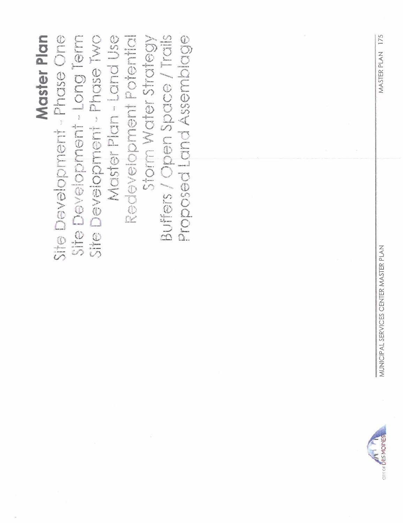175 MASTER PLAN



Master Plan Site Development - Long Term Redevelopment Potential **Buffers / Open Space / Trails** ite Development - Phase One Site Development - Phase Two Master Plan - Land Use Proposed Land Assemblage Storm Water Strategy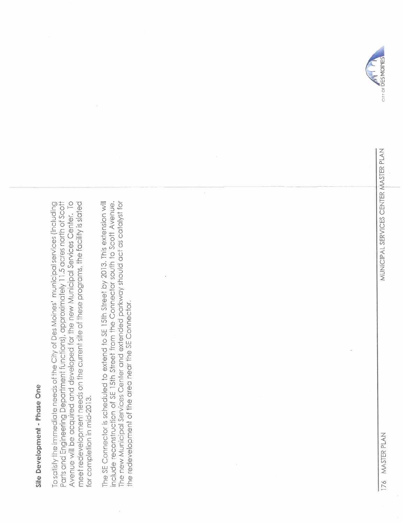## Site Development - Phase One Site Development - Phase One

Avenue will be acquired and developed for the new Municipal Services Center. To To satisfy the immediate needs of the City of Des Moines' municipal services (including Parts and Engineering Department functions), approximately 11.5 acres north of Scott meet redevelopment needs on the current site of these programs, the facility is slated Parts and Engineering Department functions), approximately 11,5 acres north of Scott To satisfy the immediate needs of the City of Des Moines i municipal services (including Avenue will be acquired and developed for the new Municipal Services Center, To meet redevelopment needs on the current site of these programs, the facility is slated for completion in mid-2013. for completion in mid-2013,

include reconstruction of SE 15th Street from the Connector south to Scott Avenue. The new Municipal Services Center and extended parkway should act as catalyst for The SE Connector is scheduled to extend to SE 15th Street by 2013. This extension will The new Municipal Services Center and extended parkway should act as catalyst for The SE Connector is scheduled to extend to SE 15th street by 2013, This extension will include reconstruction of SE 15th street from the Connector south to Scott Avenue. the redevelopment of the area near the SE Connector. the redevelopment of the area near the SE Connector,

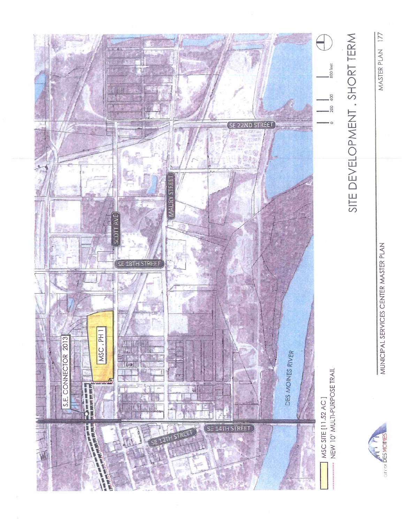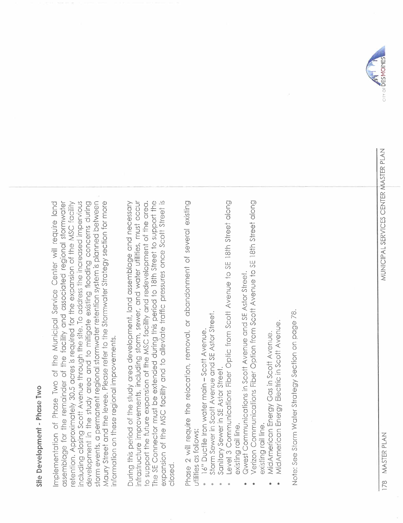## Site Development - Phase Two Site Development - Phase Two

including closing Scott Avenue through the site. To address the increased impervious storm events, a permanent regional stormwater retention system is planned between Implementation of Phase Two of the Municipal Service Center will require land assemblage for the remainder of the facility and associated regional stormwater retention. Approximately 30.5 acres is required for the expansion of the MSC facility development in the study area and to mitigate existing flooding concerns during Maury Street and the levee. Please refer to the Stormwater Strategy section for more assemblage for the remainder of the facility and associated regional stormwater retention, Approximately 30,5 acres is required for the expansion of the MSC facility including closing Scott Avenue through the site, To address the increased impervious Maury Street and the levee, Please refer to the Stormwater Strategy section for more Implementation of Phase Two of the Municipal Service Center will require land development in the study area and to mitigate existing flooding concerns during storm events, a permanent regional stormwater retention system is planned between nformation on these regional improvements. information on these regional improvements,

The SE Connector must be extended during this period to 18th Street to support the expansion of the MSC facility and to alleviate traffic pressures once Scott Street is During this period of the study area development, land assemblage and necessary infrastructure improvements, including storm, sewer, and water utilities, must occur io support the future expansion of the MSC facility and redevelopment of the area. infrastructure improvements, including storm, sewer, and water utilities, must occur During this period of the study area development. land assemblage and necessary The SE Connector must be extended during this period to 18th Street to support the expansion of the MSC facility and to alleviate traffic pressures once Scott Street is to support the future expansion of the MSC facility and redevelopment of the area, closed. Phase 2 will require the relocation, removal, or abandonment of several existing Phase 2 will require the relocation, removaL' or abandonment of several existing utilities as follows: uiilities as follows:

- 16" Ductile Iron water main Scott Avenue. · 16" Ductile Iron water main - Scott Avenue,
- Storm Sewer in Scott Avenue and SE Astor Street. · Storm Sewer in Scott Avenue and SE Astor Street.
	- Sanitary Sewer in SE Astor Street. · Sanitary Sewer in SE Astor Street.
- Level 3 Communications Fiber Optic from Scott Avenue to SE 18th Street along . Level 3 Communications Fiber Optic from Scott Avenue to SE 18th Street along existing rail line. exisiing rail line.
	- Qwest Communications in Scott Avenue and SE Astor Street. . Qwest Communications in Scott Avenue and SE Astor Street.
- Verizon Communications Fiber Option from Scott Avenue to SE 18th Street along . Verizon Communications Fiber Option from Scott Avenue to SE 18th Street along existing rail line. existing rail line.
	- MidAmerican Energy Gas in Scott Avenue. · MidAmerican Energy Gas in Scott Avenue.
- MidAmerican Energy Electric in Scott Avenue. · MidAmerican Energy Electric in Scott Avenue.

Note: See Storm Water Strategy Section on page 78. Note: See storm Water Strategy Section on page 78,



~

MUNICIPAL SERVICES CENTER MASTER PLAN 178 MASTER PLAN MUNICIP AL SERVICES CENTER N\ASTER PLAN